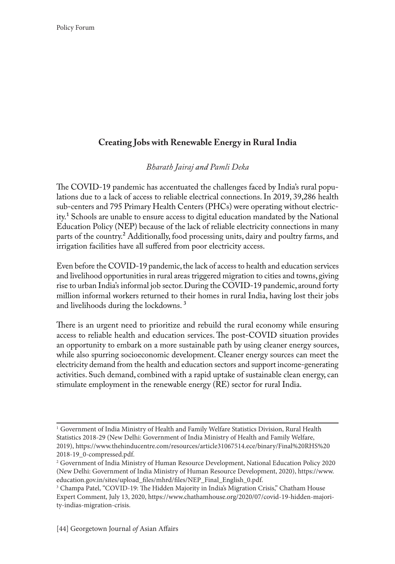# **Creating Jobs with Renewable Energy in Rural India**

#### *Bharath Jairaj and Pamli Deka*

The COVID-19 pandemic has accentuated the challenges faced by India's rural populations due to a lack of access to reliable electrical connections. In 2019, 39,286 health sub-centers and 795 Primary Health Centers (PHCs) were operating without electricity.<sup>1</sup> Schools are unable to ensure access to digital education mandated by the National Education Policy (NEP) because of the lack of reliable electricity connections in many parts of the country.<sup>2</sup> Additionally, food processing units, dairy and poultry farms, and irrigation facilities have all suffered from poor electricity access.

Even before the COVID-19 pandemic, the lack of access to health and education services and livelihood opportunities in rural areas triggered migration to cities and towns, giving rise to urban India's informal job sector. During the COVID-19 pandemic, around forty million informal workers returned to their homes in rural India, having lost their jobs and livelihoods during the lockdowns. 3

There is an urgent need to prioritize and rebuild the rural economy while ensuring access to reliable health and education services. The post-COVID situation provides an opportunity to embark on a more sustainable path by using cleaner energy sources, while also spurring socioeconomic development. Cleaner energy sources can meet the electricity demand from the health and education sectors and support income-generating activities. Such demand, combined with a rapid uptake of sustainable clean energy, can stimulate employment in the renewable energy (RE) sector for rural India.

<sup>1</sup> Government of India Ministry of Health and Family Welfare Statistics Division, Rural Health Statistics 2018-29 (New Delhi: Government of India Ministry of Health and Family Welfare, 2019), https://www.thehinducentre.com/resources/article31067514.ece/binary/Final%20RHS%20 2018-19\_0-compressed.pdf.

<sup>2</sup> Government of India Ministry of Human Resource Development, National Education Policy 2020 (New Delhi: Government of India Ministry of Human Resource Development, 2020), https://www. education.gov.in/sites/upload\_files/mhrd/files/NEP\_Final\_English\_0.pdf.

<sup>3</sup> Champa Patel, "COVID-19: The Hidden Majority in India's Migration Crisis," Chatham House Expert Comment, July 13, 2020, https://www.chathamhouse.org/2020/07/covid-19-hidden-majority-indias-migration-crisis.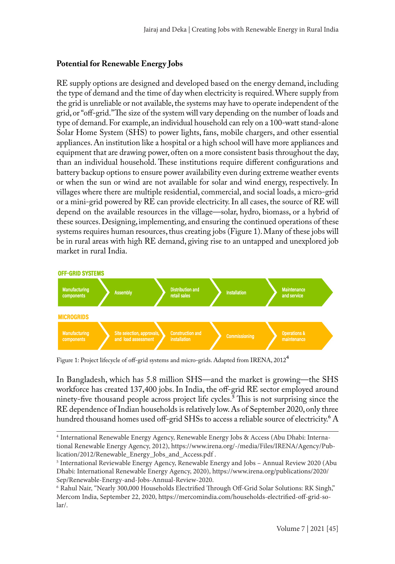#### **Potential for Renewable Energy Jobs**

RE supply options are designed and developed based on the energy demand, including the type of demand and the time of day when electricity is required. Where supply from the grid is unreliable or not available, the systems may have to operate independent of the grid, or "off-grid." The size of the system will vary depending on the number of loads and type of demand. For example, an individual household can rely on a 100-watt stand-alone Solar Home System (SHS) to power lights, fans, mobile chargers, and other essential appliances. An institution like a hospital or a high school will have more appliances and equipment that are drawing power, often on a more consistent basis throughout the day, than an individual household. These institutions require different configurations and battery backup options to ensure power availability even during extreme weather events or when the sun or wind are not available for solar and wind energy, respectively. In villages where there are multiple residential, commercial, and social loads, a micro-grid or a mini-grid powered by RE can provide electricity. In all cases, the source of RE will depend on the available resources in the village—solar, hydro, biomass, or a hybrid of these sources. Designing, implementing, and ensuring the continued operations of these systems requires human resources, thus creating jobs (Figure 1). Many of these jobs will be in rural areas with high RE demand, giving rise to an untapped and unexplored job market in rural India.



Figure 1: Project lifecycle of off-grid systems and micro-grids. Adapted from IRENA, 2012 $^{\rm 4}$ 

In Bangladesh, which has 5.8 million SHS—and the market is growing—the SHS workforce has created 137,400 jobs. In India, the off-grid RE sector employed around ninety-five thousand people across project life cycles.<sup>5</sup> This is not surprising since the RE dependence of Indian households is relatively low. As of September 2020, only three hundred thousand homes used off-grid SHSs to access a reliable source of electricity.<sup>6</sup> A

<sup>4</sup> International Renewable Energy Agency, Renewable Energy Jobs & Access (Abu Dhabi: International Renewable Energy Agency, 2012), https://www.irena.org/-/media/Files/IRENA/Agency/Publication/2012/Renewable\_Energy\_Jobs\_and\_Access.pdf .

<sup>5</sup> International Reviewable Energy Agency, Renewable Energy and Jobs – Annual Review 2020 (Abu Dhabi: International Renewable Energy Agency, 2020), https://www.irena.org/publications/2020/ Sep/Renewable-Energy-and-Jobs-Annual-Review-2020.

<sup>6</sup> Rahul Nair, "Nearly 300,000 Households Electrified Through Off-Grid Solar Solutions: RK Singh," Mercom India, September 22, 2020, https://mercomindia.com/households-electrified-off-grid-solar/.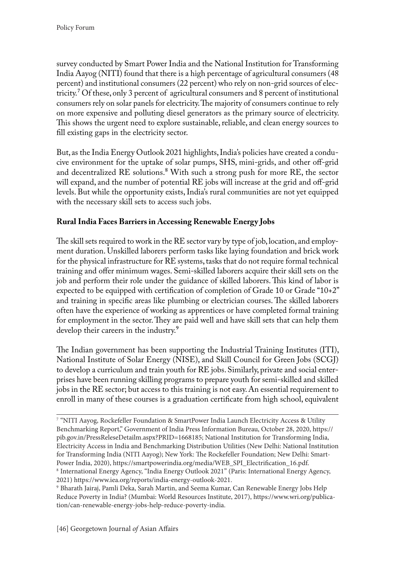survey conducted by Smart Power India and the National Institution for Transforming India Aayog (NITI) found that there is a high percentage of agricultural consumers (48 percent) and institutional consumers (22 percent) who rely on non-grid sources of electricity.7 Of these, only 3 percent of agricultural consumers and 8 percent of institutional consumers rely on solar panels for electricity. The majority of consumers continue to rely on more expensive and polluting diesel generators as the primary source of electricity. This shows the urgent need to explore sustainable, reliable, and clean energy sources to fill existing gaps in the electricity sector.

But, as the India Energy Outlook 2021 highlights, India's policies have created a conducive environment for the uptake of solar pumps, SHS, mini-grids, and other off-grid and decentralized RE solutions.<sup>8</sup> With such a strong push for more RE, the sector will expand, and the number of potential RE jobs will increase at the grid and off-grid levels. But while the opportunity exists, India's rural communities are not yet equipped with the necessary skill sets to access such jobs.

## **Rural India Faces Barriers in Accessing Renewable Energy Jobs**

The skill sets required to work in the RE sector vary by type of job, location, and employment duration. Unskilled laborers perform tasks like laying foundation and brick work for the physical infrastructure for RE systems, tasks that do not require formal technical training and offer minimum wages. Semi-skilled laborers acquire their skill sets on the job and perform their role under the guidance of skilled laborers. This kind of labor is expected to be equipped with certification of completion of Grade 10 or Grade "10+2" and training in specific areas like plumbing or electrician courses. The skilled laborers often have the experience of working as apprentices or have completed formal training for employment in the sector. They are paid well and have skill sets that can help them develop their careers in the industry.<sup>9</sup>

The Indian government has been supporting the Industrial Training Institutes (ITI), National Institute of Solar Energy (NISE), and Skill Council for Green Jobs (SCGJ) to develop a curriculum and train youth for RE jobs. Similarly, private and social enterprises have been running skilling programs to prepare youth for semi-skilled and skilled jobs in the RE sector; but access to this training is not easy. An essential requirement to enroll in many of these courses is a graduation certificate from high school, equivalent

<sup>7</sup> "NITI Aayog, Rockefeller Foundation & SmartPower India Launch Electricity Access & Utility Benchmarking Report," Government of India Press Information Bureau, October 28, 2020, https:// pib.gov.in/PressReleseDetailm.aspx?PRID=1668185; National Institution for Transforming India, Electricity Access in India and Benchmarking Distribution Utilities (New Delhi: National Institution for Transforming India (NITI Aayog); New York: The Rockefeller Foundation; New Delhi: Smart-Power India, 2020), https://smartpowerindia.org/media/WEB\_SPI\_Electrification\_16.pdf. 8 International Energy Agency, "India Energy Outlook 2021" (Paris: International Energy Agency, 2021) https://www.iea.org/reports/india-energy-outlook-2021.

<sup>9</sup> Bharath Jairaj, Pamli Deka, Sarah Martin, and Seema Kumar, Can Renewable Energy Jobs Help Reduce Poverty in India? (Mumbai: World Resources Institute, 2017), https://www.wri.org/publication/can-renewable-energy-jobs-help-reduce-poverty-india.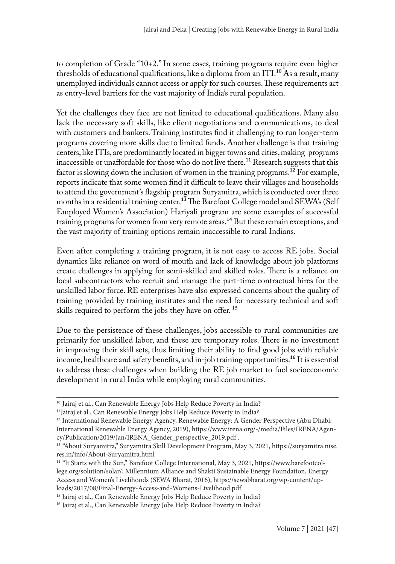to completion of Grade "10+2." In some cases, training programs require even higher thresholds of educational qualifications, like a diploma from an ITI.10 As a result, many unemployed individuals cannot access or apply for such courses. These requirements act as entry-level barriers for the vast majority of India's rural population.

Yet the challenges they face are not limited to educational qualifications. Many also lack the necessary soft skills, like client negotiations and communications, to deal with customers and bankers. Training institutes find it challenging to run longer-term programs covering more skills due to limited funds. Another challenge is that training centers, like ITIs, are predominantly located in bigger towns and cities, making programs inaccessible or unaffordable for those who do not live there.<sup>11</sup> Research suggests that this factor is slowing down the inclusion of women in the training programs.<sup>12</sup> For example, reports indicate that some women find it difficult to leave their villages and households to attend the government's flagship program Suryamitra, which is conducted over three months in a residential training center.<sup>13</sup> The Barefoot College model and SEWA's (Self Employed Women's Association) Hariyali program are some examples of successful training programs for women from very remote areas.<sup>14</sup> But these remain exceptions, and the vast majority of training options remain inaccessible to rural Indians.

Even after completing a training program, it is not easy to access RE jobs. Social dynamics like reliance on word of mouth and lack of knowledge about job platforms create challenges in applying for semi-skilled and skilled roles. There is a reliance on local subcontractors who recruit and manage the part-time contractual hires for the unskilled labor force. RE enterprises have also expressed concerns about the quality of training provided by training institutes and the need for necessary technical and soft skills required to perform the jobs they have on offer.<sup>15</sup>

Due to the persistence of these challenges, jobs accessible to rural communities are primarily for unskilled labor, and these are temporary roles. There is no investment in improving their skill sets, thus limiting their ability to find good jobs with reliable income, healthcare and safety benefits, and in-job training opportunities.<sup>16</sup> It is essential to address these challenges when building the RE job market to fuel socioeconomic development in rural India while employing rural communities.

<sup>&</sup>lt;sup>10</sup> Jairaj et al., Can Renewable Energy Jobs Help Reduce Poverty in India?

<sup>&</sup>lt;sup>11</sup>Jairaj et al., Can Renewable Energy Jobs Help Reduce Poverty in India?

<sup>&</sup>lt;sup>12</sup> International Renewable Energy Agency, Renewable Energy: A Gender Perspective (Abu Dhabi: International Renewable Energy Agency, 2019), https://www.irena.org/-/media/Files/IRENA/Agency/Publication/2019/Jan/IRENA\_Gender\_perspective\_2019.pdf .

<sup>&</sup>lt;sup>13</sup> "About Suryamitra," Suryamitra Skill Development Program, May 3, 2021, https://suryamitra.nise. res.in/info/About-Suryamitra.html

<sup>&</sup>lt;sup>14</sup> "It Starts with the Sun," Barefoot College International, May 3, 2021, https://www.barefootcollege.org/solution/solar/; Millennium Alliance and Shakti Sustainable Energy Foundation, Energy Access and Women's Livelihoods (SEWA Bharat, 2016), https://sewabharat.org/wp-content/uploads/2017/08/Final-Energy-Access-and-Womens-Livelihood.pdf.

<sup>&</sup>lt;sup>15</sup> Jairaj et al., Can Renewable Energy Jobs Help Reduce Poverty in India?

<sup>&</sup>lt;sup>16</sup> Jairaj et al., Can Renewable Energy Jobs Help Reduce Poverty in India?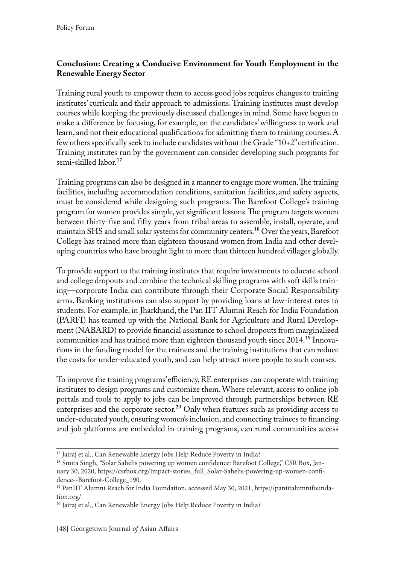### **Conclusion: Creating a Conducive Environment for Youth Employment in the Renewable Energy Sector**

Training rural youth to empower them to access good jobs requires changes to training institutes' curricula and their approach to admissions. Training institutes must develop courses while keeping the previously discussed challenges in mind. Some have begun to make a difference by focusing, for example, on the candidates' willingness to work and learn, and not their educational qualifications for admitting them to training courses. A few others specifically seek to include candidates without the Grade "10+2" certification. Training institutes run by the government can consider developing such programs for semi-skilled labor.<sup>17</sup>

Training programs can also be designed in a manner to engage more women. The training facilities, including accommodation conditions, sanitation facilities, and safety aspects, must be considered while designing such programs. The Barefoot College's training program for women provides simple, yet significant lessons. The program targets women between thirty-five and fifty years from tribal areas to assemble, install, operate, and maintain SHS and small solar systems for community centers.18 Over the years, Barefoot College has trained more than eighteen thousand women from India and other developing countries who have brought light to more than thirteen hundred villages globally.

To provide support to the training institutes that require investments to educate school and college dropouts and combine the technical skilling programs with soft skills training—corporate India can contribute through their Corporate Social Responsibility arms. Banking institutions can also support by providing loans at low-interest rates to students. For example, in Jharkhand, the Pan IIT Alumni Reach for India Foundation (PARFI) has teamed up with the National Bank for Agriculture and Rural Development (NABARD) to provide financial assistance to school dropouts from marginalized communities and has trained more than eighteen thousand youth since 2014.19 Innovations in the funding model for the trainees and the training institutions that can reduce the costs for under-educated youth, and can help attract more people to such courses.

To improve the training programs' efficiency, RE enterprises can cooperate with training institutes to design programs and customize them. Where relevant, access to online job portals and tools to apply to jobs can be improved through partnerships between RE enterprises and the corporate sector.<sup>20</sup> Only when features such as providing access to under-educated youth, ensuring women's inclusion, and connecting trainees to financing and job platforms are embedded in training programs, can rural communities access

<sup>&</sup>lt;sup>17</sup> Jairaj et al., Can Renewable Energy Jobs Help Reduce Poverty in India?

<sup>&</sup>lt;sup>18</sup> Smita Singh, "Solar Sahelis powering up women confidence: Barefoot College," CSR Box, January 30, 2020, https://csrbox.org/Impact-stories\_full\_Solar-Sahelis-powering-up-women-confidence--Barefoot-College\_190.

<sup>&</sup>lt;sup>19</sup> PanIIT Alumni Reach for India Foundation, accessed May 30, 2021, https://paniitalumnifoundation.org/.

<sup>&</sup>lt;sup>20</sup> Jairaj et al., Can Renewable Energy Jobs Help Reduce Poverty in India?